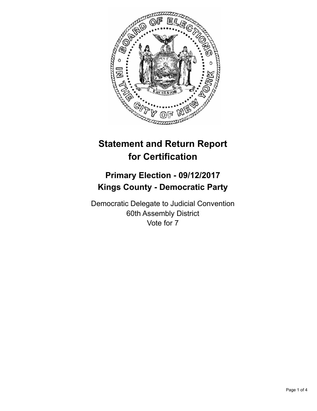

## **Statement and Return Report for Certification**

## **Primary Election - 09/12/2017 Kings County - Democratic Party**

Democratic Delegate to Judicial Convention 60th Assembly District Vote for 7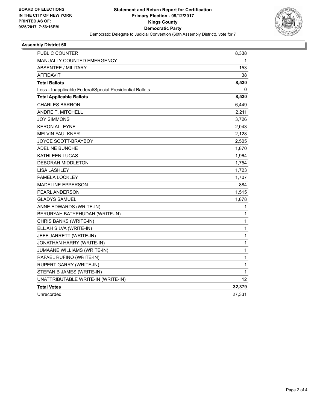

## **Assembly District 60**

| PUBLIC COUNTER                                           | 8,338        |
|----------------------------------------------------------|--------------|
| <b>MANUALLY COUNTED EMERGENCY</b>                        | 1            |
| <b>ABSENTEE / MILITARY</b>                               | 153          |
| AFFIDAVIT                                                | 38           |
| <b>Total Ballots</b>                                     | 8,530        |
| Less - Inapplicable Federal/Special Presidential Ballots | 0            |
| <b>Total Applicable Ballots</b>                          | 8,530        |
| <b>CHARLES BARRON</b>                                    | 6,449        |
| <b>ANDRE T. MITCHELL</b>                                 | 2,211        |
| JOY SIMMONS                                              | 3,726        |
| <b>KERON ALLEYNE</b>                                     | 2,043        |
| <b>MELVIN FAULKNER</b>                                   | 2,128        |
| JOYCE SCOTT-BRAYBOY                                      | 2,505        |
| <b>ADELINE BUNCHE</b>                                    | 1,870        |
| KATHLEEN LUCAS                                           | 1,964        |
| <b>DEBORAH MIDDLETON</b>                                 | 1,754        |
| <b>LISA LASHLEY</b>                                      | 1,723        |
| PAMELA LOCKLEY                                           | 1,707        |
| <b>MADELINE EPPERSON</b>                                 | 884          |
| <b>PEARL ANDERSON</b>                                    | 1,515        |
| <b>GLADYS SAMUEL</b>                                     | 1,878        |
| ANNE EDWARDS (WRITE-IN)                                  | 1            |
| BERURYAH BATYEHUDAH (WRITE-IN)                           | 1            |
| CHRIS BANKS (WRITE-IN)                                   | 1            |
| ELIJAH SILVA (WRITE-IN)                                  | 1            |
| JEFF JARRETT (WRITE-IN)                                  | $\mathbf{1}$ |
| JONATHAN HARRY (WRITE-IN)                                | 1            |
| JUMAANE WILLIAMS (WRITE-IN)                              | 1            |
| RAFAEL RUFINO (WRITE-IN)                                 | 1            |
| RUPERT GARRY (WRITE-IN)                                  | 1            |
| STEFAN B JAMES (WRITE-IN)                                | $\mathbf 1$  |
| UNATTRIBUTABLE WRITE-IN (WRITE-IN)                       | 12           |
| <b>Total Votes</b>                                       | 32,379       |
| Unrecorded                                               | 27,331       |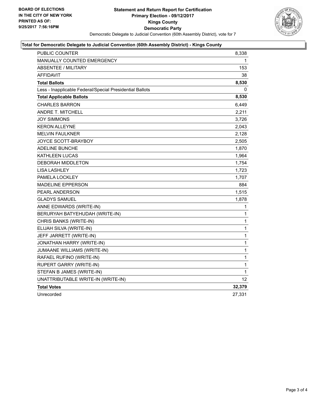

## **Total for Democratic Delegate to Judicial Convention (60th Assembly District) - Kings County**

| <b>PUBLIC COUNTER</b>                                    | 8,338        |
|----------------------------------------------------------|--------------|
| MANUALLY COUNTED EMERGENCY                               | 1            |
| <b>ABSENTEE / MILITARY</b>                               | 153          |
| <b>AFFIDAVIT</b>                                         | 38           |
| <b>Total Ballots</b>                                     | 8,530        |
| Less - Inapplicable Federal/Special Presidential Ballots | 0            |
| <b>Total Applicable Ballots</b>                          | 8,530        |
| <b>CHARLES BARRON</b>                                    | 6,449        |
| <b>ANDRE T. MITCHELL</b>                                 | 2,211        |
| <b>JOY SIMMONS</b>                                       | 3,726        |
| <b>KERON ALLEYNE</b>                                     | 2,043        |
| <b>MELVIN FAULKNER</b>                                   | 2,128        |
| JOYCE SCOTT-BRAYBOY                                      | 2,505        |
| <b>ADELINE BUNCHE</b>                                    | 1,870        |
| <b>KATHLEEN LUCAS</b>                                    | 1,964        |
| <b>DEBORAH MIDDLETON</b>                                 | 1,754        |
| <b>LISA LASHLEY</b>                                      | 1,723        |
| PAMELA LOCKLEY                                           | 1,707        |
| <b>MADELINE EPPERSON</b>                                 | 884          |
| PEARL ANDERSON                                           | 1,515        |
| <b>GLADYS SAMUEL</b>                                     | 1,878        |
| ANNE EDWARDS (WRITE-IN)                                  | 1            |
| BERURYAH BATYEHUDAH (WRITE-IN)                           | 1            |
| CHRIS BANKS (WRITE-IN)                                   | $\mathbf{1}$ |
| ELIJAH SILVA (WRITE-IN)                                  | 1            |
| JEFF JARRETT (WRITE-IN)                                  | 1            |
| JONATHAN HARRY (WRITE-IN)                                | 1            |
| JUMAANE WILLIAMS (WRITE-IN)                              | $\mathbf 1$  |
| RAFAEL RUFINO (WRITE-IN)                                 | 1            |
| RUPERT GARRY (WRITE-IN)                                  | 1            |
| STEFAN B JAMES (WRITE-IN)                                | 1            |
| UNATTRIBUTABLE WRITE-IN (WRITE-IN)                       | 12           |
| <b>Total Votes</b>                                       | 32,379       |
| Unrecorded                                               | 27,331       |